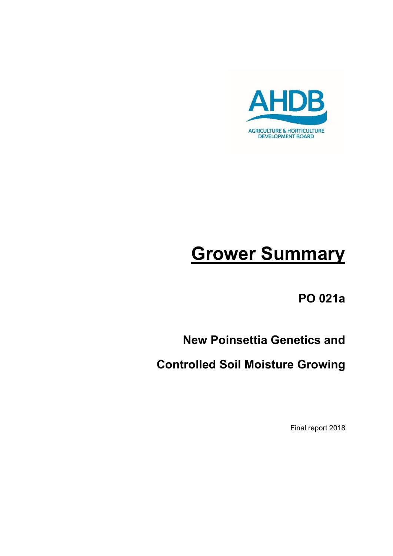

# **Grower Summary**

**PO 021a**

# **New Poinsettia Genetics and**

**Controlled Soil Moisture Growing**

Final report 2018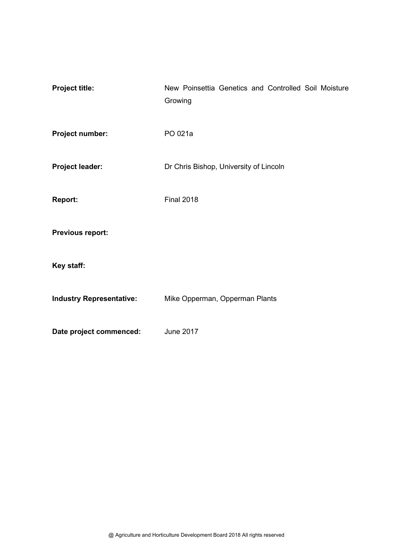| <b>Project title:</b>           | New Poinsettia Genetics and Controlled Soil Moisture<br>Growing |  |  |  |  |  |
|---------------------------------|-----------------------------------------------------------------|--|--|--|--|--|
| Project number:                 | PO 021a                                                         |  |  |  |  |  |
| <b>Project leader:</b>          | Dr Chris Bishop, University of Lincoln                          |  |  |  |  |  |
| <b>Report:</b>                  | <b>Final 2018</b>                                               |  |  |  |  |  |
| Previous report:                |                                                                 |  |  |  |  |  |
| Key staff:                      |                                                                 |  |  |  |  |  |
| <b>Industry Representative:</b> | Mike Opperman, Opperman Plants                                  |  |  |  |  |  |
| Date project commenced:         | <b>June 2017</b>                                                |  |  |  |  |  |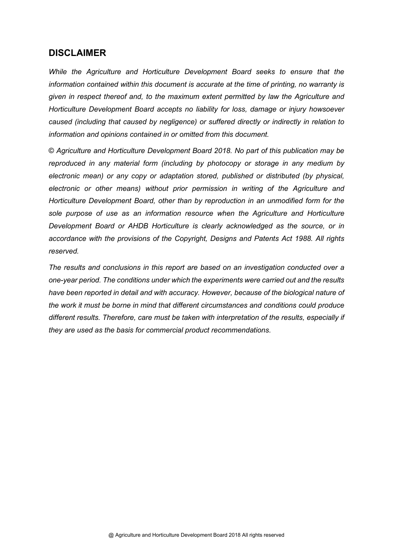#### **DISCLAIMER**

*While the Agriculture and Horticulture Development Board seeks to ensure that the information contained within this document is accurate at the time of printing, no warranty is given in respect thereof and, to the maximum extent permitted by law the Agriculture and Horticulture Development Board accepts no liability for loss, damage or injury howsoever caused (including that caused by negligence) or suffered directly or indirectly in relation to information and opinions contained in or omitted from this document.* 

© *Agriculture and Horticulture Development Board 2018. No part of this publication may be reproduced in any material form (including by photocopy or storage in any medium by electronic mean) or any copy or adaptation stored, published or distributed (by physical, electronic or other means) without prior permission in writing of the Agriculture and Horticulture Development Board, other than by reproduction in an unmodified form for the sole purpose of use as an information resource when the Agriculture and Horticulture Development Board or AHDB Horticulture is clearly acknowledged as the source, or in accordance with the provisions of the Copyright, Designs and Patents Act 1988. All rights reserved.*

*The results and conclusions in this report are based on an investigation conducted over a one-year period. The conditions under which the experiments were carried out and the results have been reported in detail and with accuracy. However, because of the biological nature of the work it must be borne in mind that different circumstances and conditions could produce different results. Therefore, care must be taken with interpretation of the results, especially if they are used as the basis for commercial product recommendations.*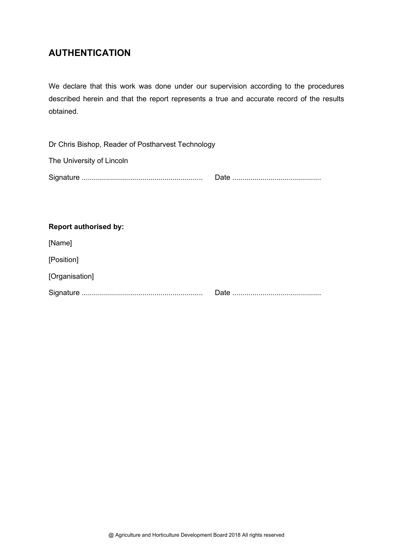## **AUTHENTICATION**

We declare that this work was done under our supervision according to the procedures described herein and that the report represents a true and accurate record of the results obtained.

| Dr Chris Bishop, Reader of Postharvest Technology |  |  |  |  |  |
|---------------------------------------------------|--|--|--|--|--|
| The University of Lincoln                         |  |  |  |  |  |
|                                                   |  |  |  |  |  |

#### **Report authorised by:**

[Name]

[Position]

[Organisation]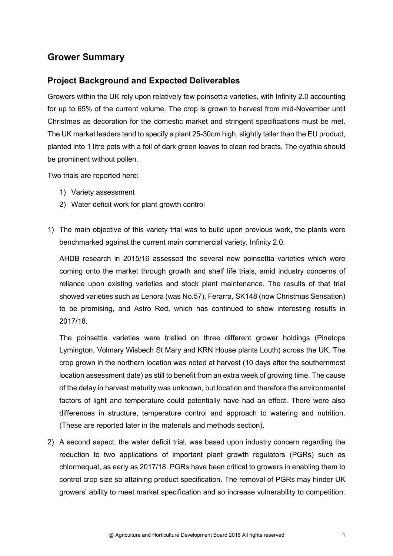### **Grower Summary**

#### **Project Background and Expected Deliverables**

Growers within the UK rely upon relatively few poinsettia varieties, with Infinity 2.0 accounting for up to 65% of the current volume. The crop is grown to harvest from mid-November until Christmas as decoration for the domestic market and stringent specifications must be met. The UK market leaders tend to specify a plant 25-30cm high, slightly taller than the EU product, planted into 1 litre pots with a foil of dark green leaves to clean red bracts. The cyathia should be prominent without pollen.

Two trials are reported here:

- 1) Variety assessment
- 2) Water deficit work for plant growth control
- 1) The main objective of this variety trial was to build upon previous work, the plants were benchmarked against the current main commercial variety, Infinity 2.0.

AHDB research in 2015/16 assessed the several new poinsettia varieties which were coming onto the market through growth and shelf life trials, amid industry concerns of reliance upon existing varieties and stock plant maintenance. The results of that trial showed varieties such as Lenora (was No.57), Ferarra, SK148 (now Christmas Sensation) to be promising, and Astro Red, which has continued to show interesting results in 2017/18.

The poinsettia varieties were trialled on three different grower holdings (Pinetops Lymington, Volmary Wisbech St Mary and KRN House plants Louth) across the UK. The crop grown in the northern location was noted at harvest (10 days after the southernmost location assessment date) as still to benefit from an extra week of growing time. The cause of the delay in harvest maturity was unknown, but location and therefore the environmental factors of light and temperature could potentially have had an effect. There were also differences in structure, temperature control and approach to watering and nutrition. (These are reported later in the materials and methods section).

2) A second aspect, the water deficit trial, was based upon industry concern regarding the reduction to two applications of important plant growth regulators (PGRs) such as chlormequat, as early as 2017/18. PGRs have been critical to growers in enabling them to control crop size so attaining product specification. The removal of PGRs may hinder UK growers' ability to meet market specification and so increase vulnerability to competition.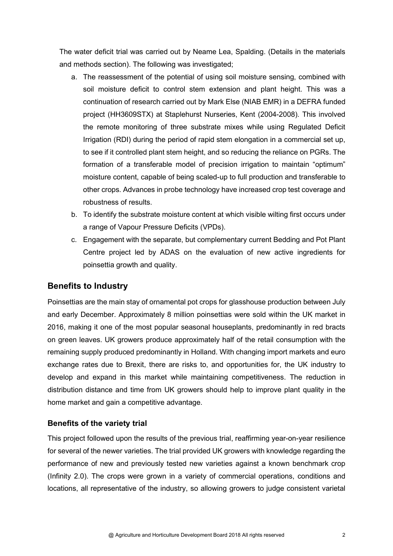The water deficit trial was carried out by Neame Lea, Spalding. (Details in the materials and methods section). The following was investigated;

- a. The reassessment of the potential of using soil moisture sensing, combined with soil moisture deficit to control stem extension and plant height. This was a continuation of research carried out by Mark Else (NIAB EMR) in a DEFRA funded project (HH3609STX) at Staplehurst Nurseries, Kent (2004-2008). This involved the remote monitoring of three substrate mixes while using Regulated Deficit Irrigation (RDI) during the period of rapid stem elongation in a commercial set up, to see if it controlled plant stem height, and so reducing the reliance on PGRs. The formation of a transferable model of precision irrigation to maintain "optimum" moisture content, capable of being scaled-up to full production and transferable to other crops. Advances in probe technology have increased crop test coverage and robustness of results.
- b. To identify the substrate moisture content at which visible wilting first occurs under a range of Vapour Pressure Deficits (VPDs).
- c. Engagement with the separate, but complementary current Bedding and Pot Plant Centre project led by ADAS on the evaluation of new active ingredients for poinsettia growth and quality.

#### **Benefits to Industry**

Poinsettias are the main stay of ornamental pot crops for glasshouse production between July and early December. Approximately 8 million poinsettias were sold within the UK market in 2016, making it one of the most popular seasonal houseplants, predominantly in red bracts on green leaves. UK growers produce approximately half of the retail consumption with the remaining supply produced predominantly in Holland. With changing import markets and euro exchange rates due to Brexit, there are risks to, and opportunities for, the UK industry to develop and expand in this market while maintaining competitiveness. The reduction in distribution distance and time from UK growers should help to improve plant quality in the home market and gain a competitive advantage.

#### **Benefits of the variety trial**

This project followed upon the results of the previous trial, reaffirming year-on-year resilience for several of the newer varieties. The trial provided UK growers with knowledge regarding the performance of new and previously tested new varieties against a known benchmark crop (Infinity 2.0). The crops were grown in a variety of commercial operations, conditions and locations, all representative of the industry, so allowing growers to judge consistent varietal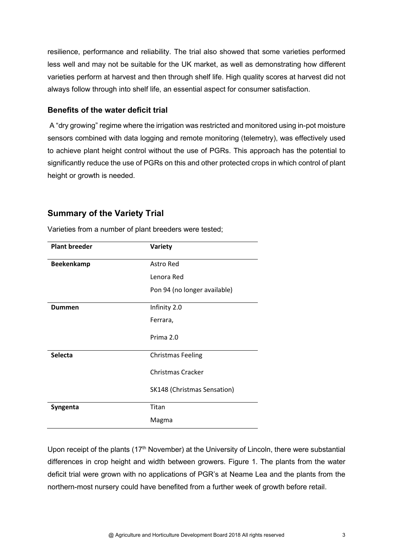resilience, performance and reliability. The trial also showed that some varieties performed less well and may not be suitable for the UK market, as well as demonstrating how different varieties perform at harvest and then through shelf life. High quality scores at harvest did not always follow through into shelf life, an essential aspect for consumer satisfaction.

#### **Benefits of the water deficit trial**

 A "dry growing" regime where the irrigation was restricted and monitored using in-pot moisture sensors combined with data logging and remote monitoring (telemetry), was effectively used to achieve plant height control without the use of PGRs. This approach has the potential to significantly reduce the use of PGRs on this and other protected crops in which control of plant height or growth is needed.

#### **Summary of the Variety Trial**

| <b>Plant breeder</b> | Variety                      |  |  |
|----------------------|------------------------------|--|--|
| <b>Beekenkamp</b>    | Astro Red                    |  |  |
|                      | Lenora Red                   |  |  |
|                      | Pon 94 (no longer available) |  |  |
| Dummen               | Infinity 2.0                 |  |  |
|                      | Ferrara,                     |  |  |
|                      | Prima 2.0                    |  |  |
| <b>Selecta</b>       | <b>Christmas Feeling</b>     |  |  |
|                      | Christmas Cracker            |  |  |
|                      | SK148 (Christmas Sensation)  |  |  |
| Syngenta             | Titan                        |  |  |
|                      | Magma                        |  |  |

Varieties from a number of plant breeders were tested;

Upon receipt of the plants (17<sup>th</sup> November) at the University of Lincoln, there were substantial differences in crop height and width between growers. Figure 1. The plants from the water deficit trial were grown with no applications of PGR's at Neame Lea and the plants from the northern-most nursery could have benefited from a further week of growth before retail.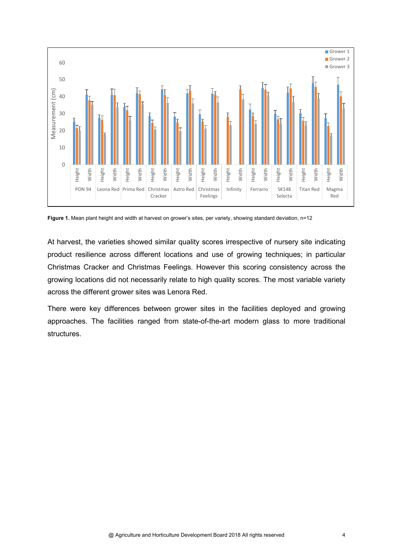

**Figure 1.** Mean plant height and width at harvest on grower's sites, per variety, showing standard deviation, n=12

At harvest, the varieties showed similar quality scores irrespective of nursery site indicating product resilience across different locations and use of growing techniques; in particular Christmas Cracker and Christmas Feelings. However this scoring consistency across the growing locations did not necessarily relate to high quality scores. The most variable variety across the different grower sites was Lenora Red.

There were key differences between grower sites in the facilities deployed and growing approaches. The facilities ranged from state-of-the-art modern glass to more traditional structures.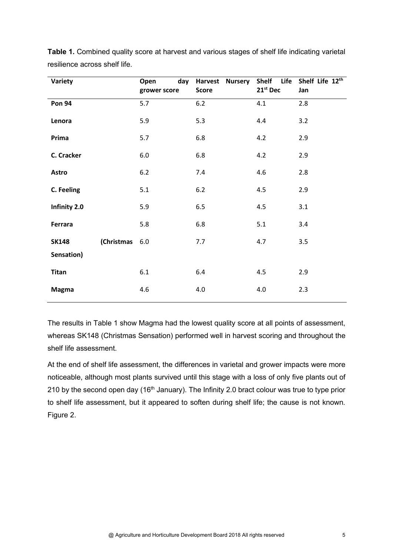| Variety       |            | day<br>Open<br>grower score | Harvest Nursery<br><b>Score</b> | Shelf Life<br>21st Dec | Shelf Life 12th<br>Jan |
|---------------|------------|-----------------------------|---------------------------------|------------------------|------------------------|
| <b>Pon 94</b> |            | 5.7                         | $6.2$                           | 4.1                    | 2.8                    |
| Lenora        |            | 5.9                         | 5.3                             | 4.4                    | 3.2                    |
| Prima         |            | 5.7                         | 6.8                             | 4.2                    | 2.9                    |
| C. Cracker    |            | 6.0                         | 6.8                             | 4.2                    | 2.9                    |
| <b>Astro</b>  |            | $6.2$                       | 7.4                             | 4.6                    | 2.8                    |
| C. Feeling    |            | 5.1                         | $6.2$                           | 4.5                    | 2.9                    |
| Infinity 2.0  |            | 5.9                         | 6.5                             | 4.5                    | 3.1                    |
| Ferrara       |            | 5.8                         | 6.8                             | 5.1                    | 3.4                    |
| <b>SK148</b>  | (Christmas | $6.0\,$                     | 7.7                             | 4.7                    | 3.5                    |
| Sensation)    |            |                             |                                 |                        |                        |
| <b>Titan</b>  |            | 6.1                         | 6.4                             | 4.5                    | 2.9                    |
| <b>Magma</b>  |            | 4.6                         | 4.0                             | 4.0                    | 2.3                    |

**Table 1.** Combined quality score at harvest and various stages of shelf life indicating varietal resilience across shelf life.

The results in Table 1 show Magma had the lowest quality score at all points of assessment, whereas SK148 (Christmas Sensation) performed well in harvest scoring and throughout the shelf life assessment.

At the end of shelf life assessment, the differences in varietal and grower impacts were more noticeable, although most plants survived until this stage with a loss of only five plants out of 210 by the second open day (16<sup>th</sup> January). The Infinity 2.0 bract colour was true to type prior to shelf life assessment, but it appeared to soften during shelf life; the cause is not known. Figure 2.